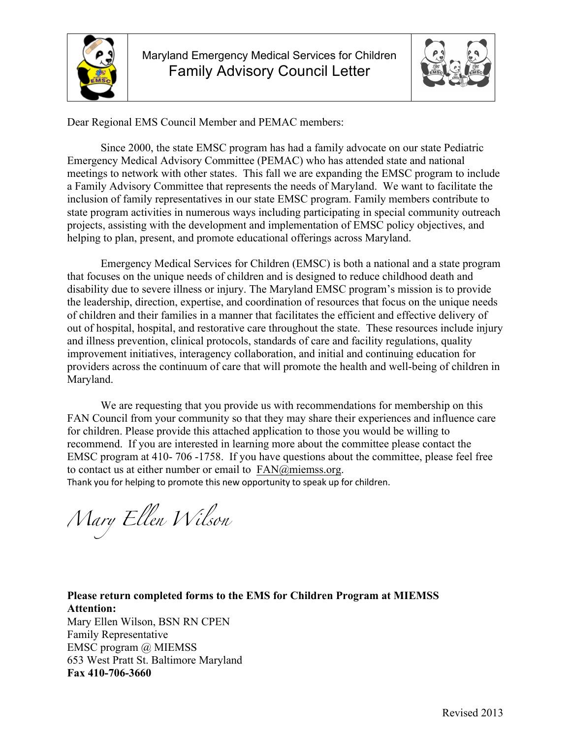



Dear Regional EMS Council Member and PEMAC members:

Since 2000, the state EMSC program has had a family advocate on our state Pediatric Emergency Medical Advisory Committee (PEMAC) who has attended state and national meetings to network with other states. This fall we are expanding the EMSC program to include a Family Advisory Committee that represents the needs of Maryland. We want to facilitate the inclusion of family representatives in our state EMSC program. Family members contribute to state program activities in numerous ways including participating in special community outreach projects, assisting with the development and implementation of EMSC policy objectives, and helping to plan, present, and promote educational offerings across Maryland.

Emergency Medical Services for Children (EMSC) is both a national and a state program that focuses on the unique needs of children and is designed to reduce childhood death and disability due to severe illness or injury. The Maryland EMSC program's mission is to provide the leadership, direction, expertise, and coordination of resources that focus on the unique needs of children and their families in a manner that facilitates the efficient and effective delivery of out of hospital, hospital, and restorative care throughout the state. These resources include injury and illness prevention, clinical protocols, standards of care and facility regulations, quality improvement initiatives, interagency collaboration, and initial and continuing education for providers across the continuum of care that will promote the health and well-being of children in Maryland.

We are requesting that you provide us with recommendations for membership on this FAN Council from your community so that they may share their experiences and influence care for children. Please provide this attached application to those you would be willing to recommend. If you are interested in learning more about the committee please contact the EMSC program at 410- 706 -1758. If you have questions about the committee, please feel free to contact us at either number or email to FAN@miemss.org. Thank you for helping to promote this new opportunity to speak up for children.

*Mary Ellen Wilson* 

**Please return completed forms to the EMS for Children Program at MIEMSS Attention:**  Mary Ellen Wilson, BSN RN CPEN Family Representative EMSC program @ MIEMSS 653 West Pratt St. Baltimore Maryland **Fax 410-706-3660**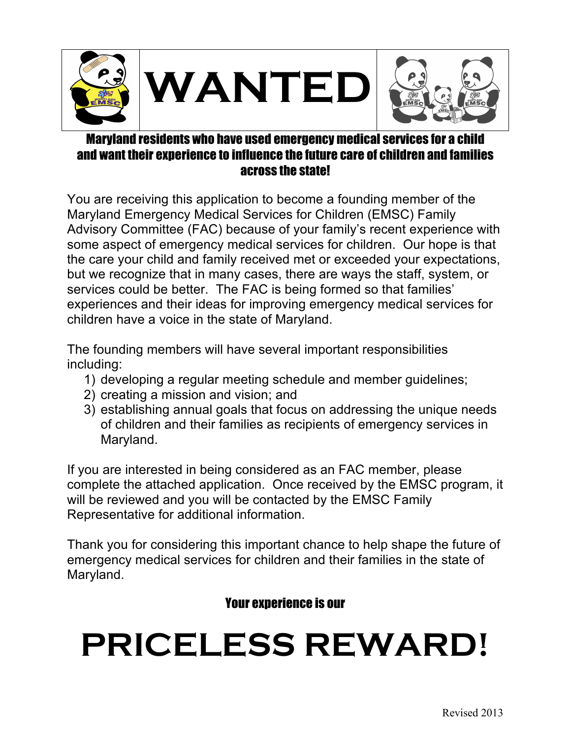

## Maryland residents who have used emergency medical services for a and want their experience to influence the future care of children and families across the state!

You are receiving this application to become a founding member of the Maryland Emergency Medical Services for Children (EMSC) Family Advisory Committee (FAC) because of your family's recent experience with some aspect of emergency medical services for children. Our hope is that the care your child and family received met or exceeded your expectations, but we recognize that in many cases, there are ways the staff, system, or services could be better. The FAC is being formed so that families' experiences and their ideas for improving emergency medical services for children have a voice in the state of Maryland.

The founding members will have several important responsibilities including:

- 1) developing a regular meeting schedule and member guidelines;
- 2) creating a mission and vision; and
- 3) establishing annual goals that focus on addressing the unique needs of children and their families as recipients of emergency services in Maryland.

If you are interested in being considered as an FAC member, please complete the attached application. Once received by the EMSC program, it will be reviewed and you will be contacted by the EMSC Family Representative for additional information.

Thank you for considering this important chance to help shape the future of emergency medical services for children and their families in the state of Maryland.

## Your experience is our

## **PRICELESS REWARD!**